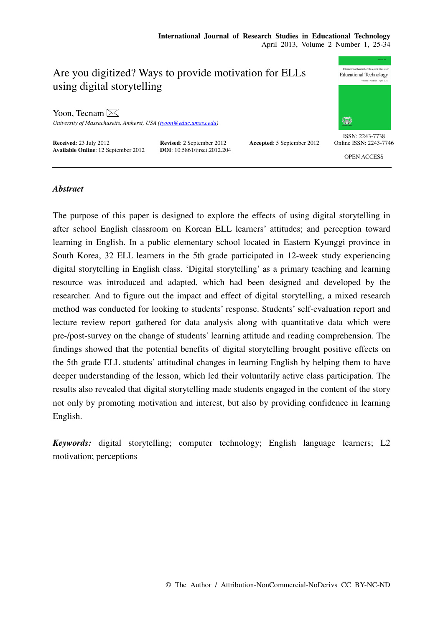# Are you digitized? Ways to provide motivation for ELLs using digital storytelling

Yoon, Tecnam  $\boxtimes$ 

*University of Massachusetts, Amherst, USA (tyoon@educ.umass.edu)* 

**Received**: 23 July 2012 **Revised**: 2 September 2012 **Accepted**: 5 September 2012 **Available Online**: 12 September 2012 **DOI**: 10.5861/ijrset.2012.204 **Available Online**: 12 September 2012





ISSN: 2243-7738 Online ISSN: 2243-7746

OPEN ACCESS

## *Abstract*

The purpose of this paper is designed to explore the effects of using digital storytelling in after school English classroom on Korean ELL learners' attitudes; and perception toward learning in English. In a public elementary school located in Eastern Kyunggi province in South Korea, 32 ELL learners in the 5th grade participated in 12-week study experiencing digital storytelling in English class. 'Digital storytelling' as a primary teaching and learning resource was introduced and adapted, which had been designed and developed by the researcher. And to figure out the impact and effect of digital storytelling, a mixed research method was conducted for looking to students' response. Students' self-evaluation report and lecture review report gathered for data analysis along with quantitative data which were pre-/post-survey on the change of students' learning attitude and reading comprehension. The findings showed that the potential benefits of digital storytelling brought positive effects on the 5th grade ELL students' attitudinal changes in learning English by helping them to have deeper understanding of the lesson, which led their voluntarily active class participation. The results also revealed that digital storytelling made students engaged in the content of the story not only by promoting motivation and interest, but also by providing confidence in learning English.

*Keywords:* digital storytelling; computer technology; English language learners; L2 motivation; perceptions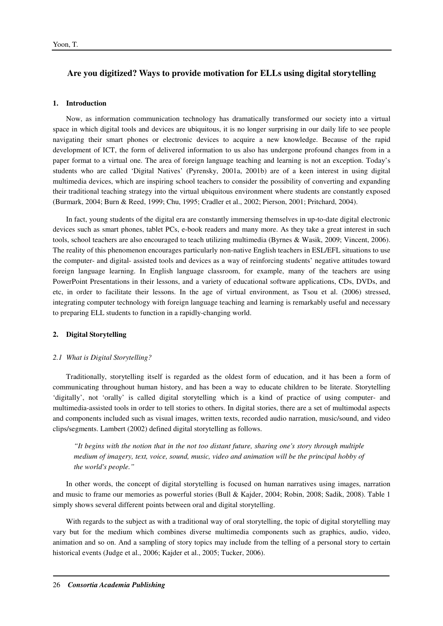# **Are you digitized? Ways to provide motivation for ELLs using digital storytelling**

#### **1. Introduction**

Now, as information communication technology has dramatically transformed our society into a virtual space in which digital tools and devices are ubiquitous, it is no longer surprising in our daily life to see people navigating their smart phones or electronic devices to acquire a new knowledge. Because of the rapid development of ICT, the form of delivered information to us also has undergone profound changes from in a paper format to a virtual one. The area of foreign language teaching and learning is not an exception. Today's students who are called 'Digital Natives' (Pyrensky, 2001a, 2001b) are of a keen interest in using digital multimedia devices, which are inspiring school teachers to consider the possibility of converting and expanding their traditional teaching strategy into the virtual ubiquitous environment where students are constantly exposed (Burmark, 2004; Burn & Reed, 1999; Chu, 1995; Cradler et al., 2002; Pierson, 2001; Pritchard, 2004).

In fact, young students of the digital era are constantly immersing themselves in up-to-date digital electronic devices such as smart phones, tablet PCs, e-book readers and many more. As they take a great interest in such tools, school teachers are also encouraged to teach utilizing multimedia (Byrnes & Wasik, 2009; Vincent, 2006). The reality of this phenomenon encourages particularly non-native English teachers in ESL/EFL situations to use the computer- and digital- assisted tools and devices as a way of reinforcing students' negative attitudes toward foreign language learning. In English language classroom, for example, many of the teachers are using PowerPoint Presentations in their lessons, and a variety of educational software applications, CDs, DVDs, and etc, in order to facilitate their lessons. In the age of virtual environment, as Tsou et al. (2006) stressed, integrating computer technology with foreign language teaching and learning is remarkably useful and necessary to preparing ELL students to function in a rapidly-changing world.

#### **2. Digital Storytelling**

#### *2.1 What is Digital Storytelling?*

Traditionally, storytelling itself is regarded as the oldest form of education, and it has been a form of communicating throughout human history, and has been a way to educate children to be literate. Storytelling 'digitally', not 'orally' is called digital storytelling which is a kind of practice of using computer- and multimedia-assisted tools in order to tell stories to others. In digital stories, there are a set of multimodal aspects and components included such as visual images, written texts, recorded audio narration, music/sound, and video clips/segments. Lambert (2002) defined digital storytelling as follows.

*"It begins with the notion that in the not too distant future, sharing one's story through multiple medium of imagery, text, voice, sound, music, video and animation will be the principal hobby of the world's people."* 

In other words, the concept of digital storytelling is focused on human narratives using images, narration and music to frame our memories as powerful stories (Bull & Kajder, 2004; Robin, 2008; Sadik, 2008). Table 1 simply shows several different points between oral and digital storytelling.

With regards to the subject as with a traditional way of oral storytelling, the topic of digital storytelling may vary but for the medium which combines diverse multimedia components such as graphics, audio, video, animation and so on. And a sampling of story topics may include from the telling of a personal story to certain historical events (Judge et al., 2006; Kajder et al., 2005; Tucker, 2006).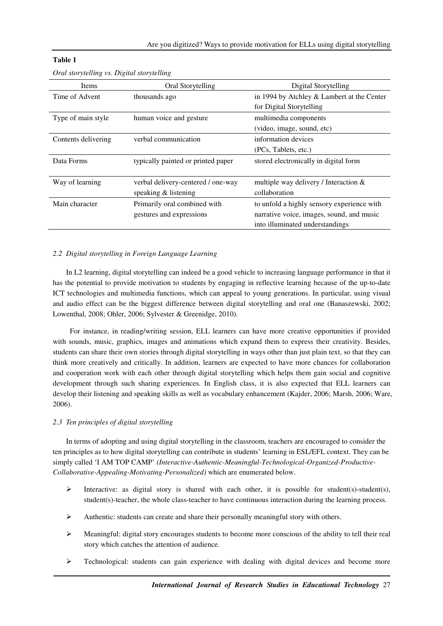| Items               | Oral Storytelling                  | Digital Storytelling                       |
|---------------------|------------------------------------|--------------------------------------------|
| Time of Advent      | thousands ago                      | in 1994 by Atchley & Lambert at the Center |
|                     |                                    | for Digital Storytelling                   |
| Type of main style  | human voice and gesture            | multimedia components                      |
|                     |                                    | (video, image, sound, etc)                 |
| Contents delivering | verbal communication               | information devices                        |
|                     |                                    | (PCs, Tablets, etc.)                       |
| Data Forms          | typically painted or printed paper | stored electronically in digital form      |
|                     |                                    |                                            |
| Way of learning     | verbal delivery-centered / one-way | multiple way delivery / Interaction $\&$   |
|                     | speaking & listening               | collaboration                              |
| Main character      | Primarily oral combined with       | to unfold a highly sensory experience with |
|                     | gestures and expressions           | narrative voice, images, sound, and music  |
|                     |                                    | into illuminated understandings            |
|                     |                                    |                                            |

## **Table 1**

## *2.2 Digital storytelling in Foreign Language Learning*

In L2 learning, digital storytelling can indeed be a good vehicle to increasing language performance in that it has the potential to provide motivation to students by engaging in reflective learning because of the up-to-date ICT technologies and multimedia functions, which can appeal to young generations. In particular, using visual and audio effect can be the biggest difference between digital storytelling and oral one (Banaszewski, 2002; Lowenthal, 2008; Ohler, 2006; Sylvester & Greenidge, 2010).

 For instance, in reading/writing session, ELL learners can have more creative opportunities if provided with sounds, music, graphics, images and animations which expand them to express their creativity. Besides, students can share their own stories through digital storytelling in ways other than just plain text, so that they can think more creatively and critically. In addition, learners are expected to have more chances for collaboration and cooperation work with each other through digital storytelling which helps them gain social and cognitive development through such sharing experiences. In English class, it is also expected that ELL learners can develop their listening and speaking skills as well as vocabulary enhancement (Kajder, 2006; Marsh, 2006; Ware, 2006).

## *2.3 Ten principles of digital storytelling*

In terms of adopting and using digital storytelling in the classroom, teachers are encouraged to consider the ten principles as to how digital storytelling can contribute in students' learning in ESL/EFL context. They can be simply called 'I AM TOP CAMP' *(Interactive-Authentic-Meaningful-Technological-Organized-Productive-Collaborative-Appealing-Motivating-Personalized)* which are enumerated below.

- Interactive: as digital story is shared with each other, it is possible for student(s)-student(s), student(s)-teacher, the whole class-teacher to have continuous interaction during the learning process.
- $\triangleright$  Authentic: students can create and share their personally meaningful story with others.
- $\triangleright$  Meaningful: digital story encourages students to become more conscious of the ability to tell their real story which catches the attention of audience.
- $\triangleright$  Technological: students can gain experience with dealing with digital devices and become more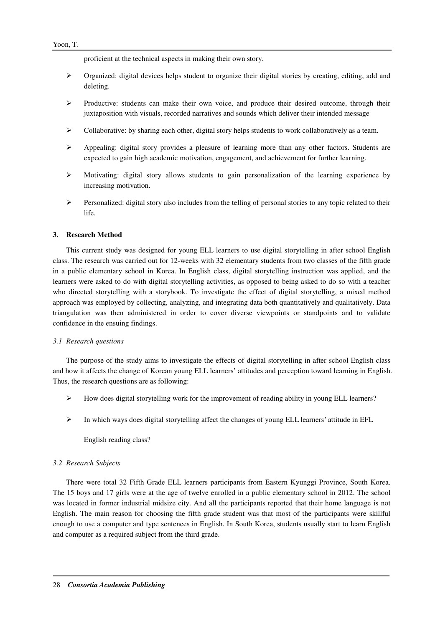proficient at the technical aspects in making their own story.

- $\triangleright$  Organized: digital devices helps student to organize their digital stories by creating, editing, add and deleting.
- $\triangleright$  Productive: students can make their own voice, and produce their desired outcome, through their juxtaposition with visuals, recorded narratives and sounds which deliver their intended message
- $\triangleright$  Collaborative: by sharing each other, digital story helps students to work collaboratively as a team.
- $\triangleright$  Appealing: digital story provides a pleasure of learning more than any other factors. Students are expected to gain high academic motivation, engagement, and achievement for further learning.
- $\triangleright$  Motivating: digital story allows students to gain personalization of the learning experience by increasing motivation.
- $\triangleright$  Personalized: digital story also includes from the telling of personal stories to any topic related to their life.

## **3. Research Method**

This current study was designed for young ELL learners to use digital storytelling in after school English class. The research was carried out for 12-weeks with 32 elementary students from two classes of the fifth grade in a public elementary school in Korea. In English class, digital storytelling instruction was applied, and the learners were asked to do with digital storytelling activities, as opposed to being asked to do so with a teacher who directed storytelling with a storybook. To investigate the effect of digital storytelling, a mixed method approach was employed by collecting, analyzing, and integrating data both quantitatively and qualitatively. Data triangulation was then administered in order to cover diverse viewpoints or standpoints and to validate confidence in the ensuing findings.

## *3.1 Research questions*

The purpose of the study aims to investigate the effects of digital storytelling in after school English class and how it affects the change of Korean young ELL learners' attitudes and perception toward learning in English. Thus, the research questions are as following:

- $\triangleright$  How does digital storytelling work for the improvement of reading ability in young ELL learners?
- $\triangleright$  In which ways does digital storytelling affect the changes of young ELL learners' attitude in EFL

English reading class?

## *3.2 Research Subjects*

There were total 32 Fifth Grade ELL learners participants from Eastern Kyunggi Province, South Korea. The 15 boys and 17 girls were at the age of twelve enrolled in a public elementary school in 2012. The school was located in former industrial midsize city. And all the participants reported that their home language is not English. The main reason for choosing the fifth grade student was that most of the participants were skillful enough to use a computer and type sentences in English. In South Korea, students usually start to learn English and computer as a required subject from the third grade.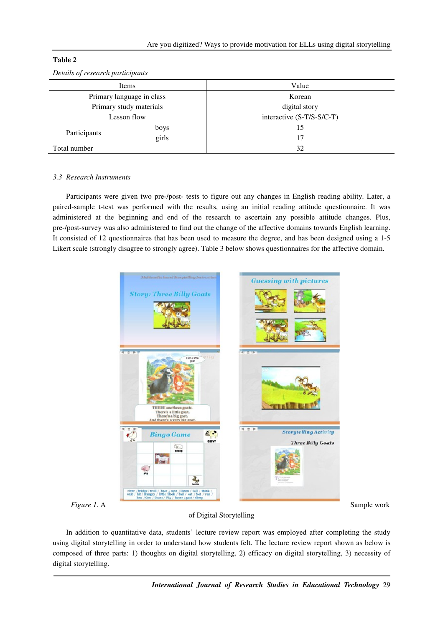| Dennis of research participants |       |                           |  |
|---------------------------------|-------|---------------------------|--|
| Value<br>Items                  |       |                           |  |
| Primary language in class       |       | Korean                    |  |
| Primary study materials         |       | digital story             |  |
| Lesson flow                     |       | interactive (S-T/S-S/C-T) |  |
| Participants                    | boys  | 15                        |  |
|                                 | girls | 17                        |  |
| Total number                    |       | 32                        |  |

## **Table 2**

## *3.3 Research Instruments*

Participants were given two pre-/post- tests to figure out any changes in English reading ability. Later, a paired-sample t-test was performed with the results, using an initial reading attitude questionnaire. It was administered at the beginning and end of the research to ascertain any possible attitude changes. Plus, pre-/post-survey was also administered to find out the change of the affective domains towards English learning. It consisted of 12 questionnaires that has been used to measure the degree, and has been designed using a 1-5 Likert scale (strongly disagree to strongly agree). Table 3 below shows questionnaires for the affective domain.



## of Digital Storytelling

In addition to quantitative data, students' lecture review report was employed after completing the study using digital storytelling in order to understand how students felt. The lecture review report shown as below is composed of three parts: 1) thoughts on digital storytelling, 2) efficacy on digital storytelling, 3) necessity of digital storytelling.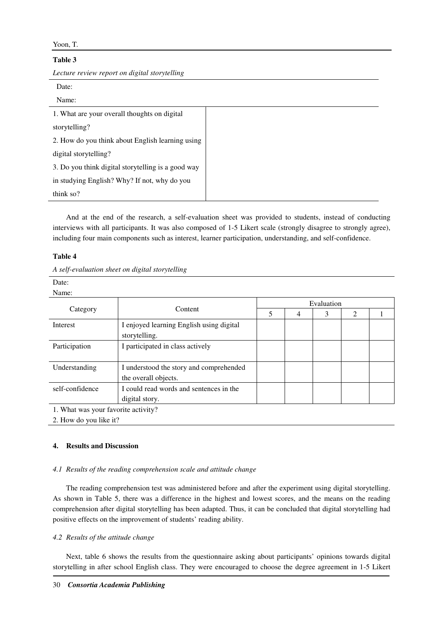| м |  |
|---|--|
|---|--|

## **Table 3**

*Lecture review report on digital storytelling* 

| Date:                                              |  |
|----------------------------------------------------|--|
| Name:                                              |  |
| 1. What are your overall thoughts on digital       |  |
| storytelling?                                      |  |
| 2. How do you think about English learning using   |  |
| digital storytelling?                              |  |
| 3. Do you think digital storytelling is a good way |  |
| in studying English? Why? If not, why do you       |  |
| think $so?$                                        |  |

And at the end of the research, a self-evaluation sheet was provided to students, instead of conducting interviews with all participants. It was also composed of 1-5 Likert scale (strongly disagree to strongly agree), including four main components such as interest, learner participation, understanding, and self-confidence.

#### **Table 4**

| Date:    |         |   |            |        |  |
|----------|---------|---|------------|--------|--|
| Name:    |         |   |            |        |  |
|          |         |   | Evaluation |        |  |
| Category | Content | ∼ | ◠          | $\sim$ |  |

|                                     | Content                                  |  |   |   |  |  |  |  |
|-------------------------------------|------------------------------------------|--|---|---|--|--|--|--|
| Category                            |                                          |  | 4 | 3 |  |  |  |  |
| Interest                            | I enjoyed learning English using digital |  |   |   |  |  |  |  |
|                                     | storytelling.                            |  |   |   |  |  |  |  |
| Participation                       | I participated in class actively         |  |   |   |  |  |  |  |
|                                     |                                          |  |   |   |  |  |  |  |
| Understanding                       | I understood the story and comprehended  |  |   |   |  |  |  |  |
|                                     | the overall objects.                     |  |   |   |  |  |  |  |
| self-confidence                     | I could read words and sentences in the  |  |   |   |  |  |  |  |
|                                     | digital story.                           |  |   |   |  |  |  |  |
| 1. What was your favorite activity? |                                          |  |   |   |  |  |  |  |

2. How do you like it?

## **4. Results and Discussion**

#### *4.1 Results of the reading comprehension scale and attitude change*

The reading comprehension test was administered before and after the experiment using digital storytelling. As shown in Table 5, there was a difference in the highest and lowest scores, and the means on the reading comprehension after digital storytelling has been adapted. Thus, it can be concluded that digital storytelling had positive effects on the improvement of students' reading ability.

## *4.2 Results of the attitude change*

Next, table 6 shows the results from the questionnaire asking about participants' opinions towards digital storytelling in after school English class. They were encouraged to choose the degree agreement in 1-5 Likert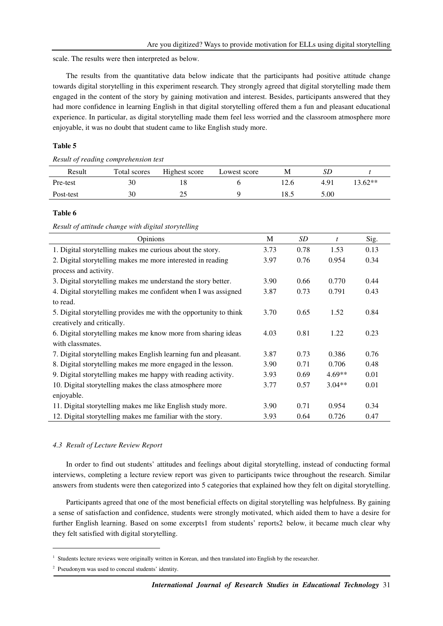scale. The results were then interpreted as below.

The results from the quantitative data below indicate that the participants had positive attitude change towards digital storytelling in this experiment research. They strongly agreed that digital storytelling made them engaged in the content of the story by gaining motivation and interest. Besides, participants answered that they had more confidence in learning English in that digital storytelling offered them a fun and pleasant educational experience. In particular, as digital storytelling made them feel less worried and the classroom atmosphere more enjoyable, it was no doubt that student came to like English study more.

#### **Table 5**

*Result of reading comprehension test* 

| Result    | Total scores | Highest score | Lowest score | M    |      |           |
|-----------|--------------|---------------|--------------|------|------|-----------|
| Pre-test  | 30           |               |              | 12.6 | 4.91 | $13.62**$ |
| Post-test | 30           |               |              | 18.5 | 5.00 |           |

#### **Table 6**

*Result of attitude change with digital storytelling*

| Opinions                                                          | M    | SD   | $\mathbf{f}$ | Sig. |
|-------------------------------------------------------------------|------|------|--------------|------|
| 1. Digital storytelling makes me curious about the story.         | 3.73 | 0.78 | 1.53         | 0.13 |
| 2. Digital storytelling makes me more interested in reading       | 3.97 | 0.76 | 0.954        | 0.34 |
| process and activity.                                             |      |      |              |      |
| 3. Digital storytelling makes me understand the story better.     | 3.90 | 0.66 | 0.770        | 0.44 |
| 4. Digital storytelling makes me confident when I was assigned    | 3.87 | 0.73 | 0.791        | 0.43 |
| to read.                                                          |      |      |              |      |
| 5. Digital storytelling provides me with the opportunity to think | 3.70 | 0.65 | 1.52         | 0.84 |
| creatively and critically.                                        |      |      |              |      |
| 6. Digital storytelling makes me know more from sharing ideas     |      | 0.81 | 1.22         | 0.23 |
| with classmates.                                                  |      |      |              |      |
| 7. Digital storytelling makes English learning fun and pleasant.  | 3.87 | 0.73 | 0.386        | 0.76 |
| 8. Digital storytelling makes me more engaged in the lesson.      | 3.90 | 0.71 | 0.706        | 0.48 |
| 9. Digital storytelling makes me happy with reading activity.     | 3.93 | 0.69 | $4.69**$     | 0.01 |
| 10. Digital storytelling makes the class atmosphere more          | 3.77 | 0.57 | $3.04**$     | 0.01 |
| enjoyable.                                                        |      |      |              |      |
| 11. Digital storytelling makes me like English study more.        | 3.90 | 0.71 | 0.954        | 0.34 |
| 12. Digital storytelling makes me familiar with the story.        | 3.93 | 0.64 | 0.726        | 0.47 |

#### *4.3 Result of Lecture Review Report*

In order to find out students' attitudes and feelings about digital storytelling, instead of conducting formal interviews, completing a lecture review report was given to participants twice throughout the research. Similar answers from students were then categorized into 5 categories that explained how they felt on digital storytelling.

Participants agreed that one of the most beneficial effects on digital storytelling was helpfulness. By gaining a sense of satisfaction and confidence, students were strongly motivated, which aided them to have a desire for further English learning. Based on some excerpts1 from students' reports2 below, it became much clear why they felt satisfied with digital storytelling.

֬֒

<sup>&</sup>lt;sup>1</sup> Students lecture reviews were originally written in Korean, and then translated into English by the researcher.

<sup>2</sup> Pseudonym was used to conceal students' identity.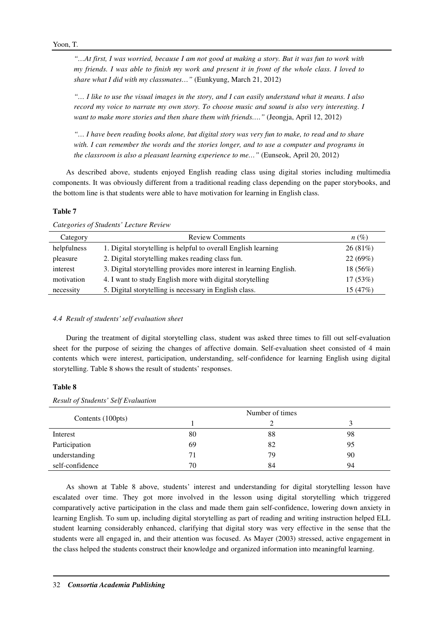*"…At first, I was worried, because I am not good at making a story. But it was fun to work with my friends. I was able to finish my work and present it in front of the whole class. I loved to share what I did with my classmates…"* (Eunkyung, March 21, 2012)

*"… I like to use the visual images in the story, and I can easily understand what it means. I also record my voice to narrate my own story. To choose music and sound is also very interesting. I want to make more stories and then share them with friends…."* (Jeongja, April 12, 2012)

*"… I have been reading books alone, but digital story was very fun to make, to read and to share with. I can remember the words and the stories longer, and to use a computer and programs in the classroom is also a pleasant learning experience to me…"* (Eunseok, April 20, 2012)

As described above, students enjoyed English reading class using digital stories including multimedia components. It was obviously different from a traditional reading class depending on the paper storybooks, and the bottom line is that students were able to have motivation for learning in English class.

## **Table 7**

| Category    | <b>Review Comments</b>                                              | $n(\%)$    |
|-------------|---------------------------------------------------------------------|------------|
| helpfulness | 1. Digital storytelling is helpful to overall English learning      | 26(81%)    |
| pleasure    | 2. Digital storytelling makes reading class fun.                    | 22(69%)    |
| interest    | 3. Digital storytelling provides more interest in learning English. | $18(56\%)$ |
| motivation  | 4. I want to study English more with digital storytelling           | 17(53%)    |
| necessity   | 5. Digital storytelling is necessary in English class.              | 15 (47%)   |

*Categories of Students' Lecture Review* 

## *4.4 Result of students' self evaluation sheet*

During the treatment of digital storytelling class, student was asked three times to fill out self-evaluation sheet for the purpose of seizing the changes of affective domain. Self-evaluation sheet consisted of 4 main contents which were interest, participation, understanding, self-confidence for learning English using digital storytelling. Table 8 shows the result of students' responses.

## **Table 8**

| Contents (100pts) | Number of times |    |    |
|-------------------|-----------------|----|----|
|                   |                 |    |    |
| Interest          | 80              | 88 | 98 |
| Participation     | 69              | 82 | 95 |
| understanding     | 71              | 79 | 90 |
| self-confidence   | 70              | 84 | 94 |

*Result of Students' Self Evaluation* 

As shown at Table 8 above, students' interest and understanding for digital storytelling lesson have escalated over time. They got more involved in the lesson using digital storytelling which triggered comparatively active participation in the class and made them gain self-confidence, lowering down anxiety in learning English. To sum up, including digital storytelling as part of reading and writing instruction helped ELL student learning considerably enhanced, clarifying that digital story was very effective in the sense that the students were all engaged in, and their attention was focused. As Mayer (2003) stressed, active engagement in the class helped the students construct their knowledge and organized information into meaningful learning.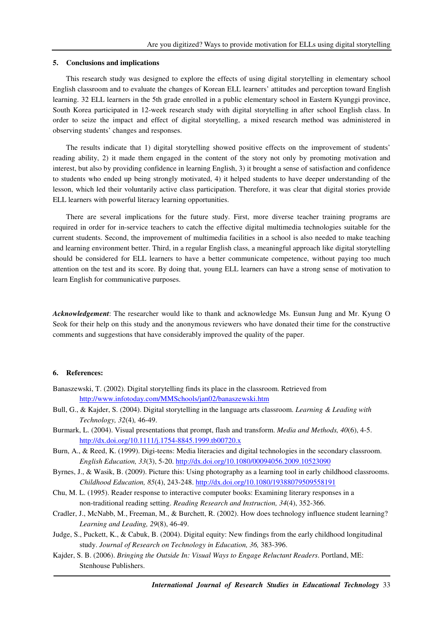#### **5. Conclusions and implications**

This research study was designed to explore the effects of using digital storytelling in elementary school English classroom and to evaluate the changes of Korean ELL learners' attitudes and perception toward English learning. 32 ELL learners in the 5th grade enrolled in a public elementary school in Eastern Kyunggi province, South Korea participated in 12-week research study with digital storytelling in after school English class. In order to seize the impact and effect of digital storytelling, a mixed research method was administered in observing students' changes and responses.

The results indicate that 1) digital storytelling showed positive effects on the improvement of students' reading ability, 2) it made them engaged in the content of the story not only by promoting motivation and interest, but also by providing confidence in learning English, 3) it brought a sense of satisfaction and confidence to students who ended up being strongly motivated, 4) it helped students to have deeper understanding of the lesson, which led their voluntarily active class participation. Therefore, it was clear that digital stories provide ELL learners with powerful literacy learning opportunities.

There are several implications for the future study. First, more diverse teacher training programs are required in order for in-service teachers to catch the effective digital multimedia technologies suitable for the current students. Second, the improvement of multimedia facilities in a school is also needed to make teaching and learning environment better. Third, in a regular English class, a meaningful approach like digital storytelling should be considered for ELL learners to have a better communicate competence, without paying too much attention on the test and its score. By doing that, young ELL learners can have a strong sense of motivation to learn English for communicative purposes.

*Acknowledgement*: The researcher would like to thank and acknowledge Ms. Eunsun Jung and Mr. Kyung O Seok for their help on this study and the anonymous reviewers who have donated their time for the constructive comments and suggestions that have considerably improved the quality of the paper.

#### **6. References:**

- Banaszewski, T. (2002). Digital storytelling finds its place in the classroom. Retrieved from http://www.infotoday.com/MMSchools/jan02/banaszewski.htm
- Bull, G., & Kajder, S. (2004). Digital storytelling in the language arts classroom. *Learning & Leading with Technology, 32*(4)*,* 46-49.
- Burmark, L. (2004). Visual presentations that prompt, flash and transform. *Media and Methods, 40*(6), 4-5. http://dx.doi.org/10.1111/j.1754-8845.1999.tb00720.x
- Burn, A., & Reed, K. (1999). Digi-teens: Media literacies and digital technologies in the secondary classroom. *English Education, 33*(3), 5-20. http://dx.doi.org/10.1080/00094056.2009.10523090
- Byrnes, J., & Wasik, B. (2009). Picture this: Using photography as a learning tool in early childhood classrooms. *Childhood Education, 85*(4), 243-248. http://dx.doi.org/10.1080/19388079509558191
- Chu, M. L. (1995). Reader response to interactive computer books: Examining literary responses in a non-traditional reading setting. *Reading Research and Instruction, 34*(4), 352-366.
- Cradler, J., McNabb, M., Freeman, M., & Burchett, R. (2002). How does technology influence student learning? *Learning and Leading, 29*(8), 46-49.
- Judge, S., Puckett, K., & Cabuk, B. (2004). Digital equity: New findings from the early childhood longitudinal study. *Journal of Research on Technology in Education, 36,* 383-396.
- Kajder, S. B. (2006). *Bringing the Outside In: Visual Ways to Engage Reluctant Readers*. Portland, ME: Stenhouse Publishers.